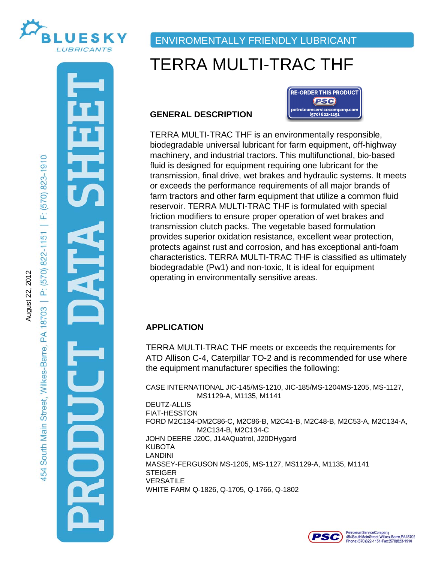

August 22, 2012

August 22, 2012

# ENVIROMENTALLY FRIENDLY LUBRICANT

# TERRA MULTI-TRAC THF

## **GENERAL DESCRIPTION**



TERRA MULTI-TRAC THF is an environmentally responsible, biodegradable universal lubricant for farm equipment, off-highway machinery, and industrial tractors. This multifunctional, bio-based fluid is designed for equipment requiring one lubricant for the transmission, final drive, wet brakes and hydraulic systems. It meets or exceeds the performance requirements of all major brands of farm tractors and other farm equipment that utilize a common fluid reservoir. TERRA MULTI-TRAC THF is formulated with special friction modifiers to ensure proper operation of wet brakes and transmission clutch packs. The vegetable based formulation provides superior oxidation resistance, excellent wear protection, protects against rust and corrosion, and has exceptional anti-foam characteristics. TERRA MULTI-TRAC THF is classified as ultimately biodegradable (Pw1) and non-toxic, It is ideal for equipment operating in environmentally sensitive areas.

# **APPLICATION**

TERRA MULTI-TRAC THF meets or exceeds the requirements for ATD Allison C-4, Caterpillar TO-2 and is recommended for use where the equipment manufacturer specifies the following:

IN<br>FILE<br>FAR CASE INTERNATIONAL JIC-145/MS-1210, JIC-185/MS-1204MS-1205, MS-1127, MS1129-A, M1135, M1141 DEUTZ-ALLIS FIAT-HESSTON FORD M2C134-DM2C86-C, M2C86-B, M2C41-B, M2C48-B, M2C53-A, M2C134-A, M2C134-B, M2C134-C JOHN DEERE J20C, J14AQuatrol, J20DHygard KUBOTA LANDINI MASSEY-FERGUSON MS-1205, MS-1127, MS1129-A, M1135, M1141 **STEIGER VERSATILE** WHITE FARM Q-1826, Q-1705, Q-1766, Q-1802